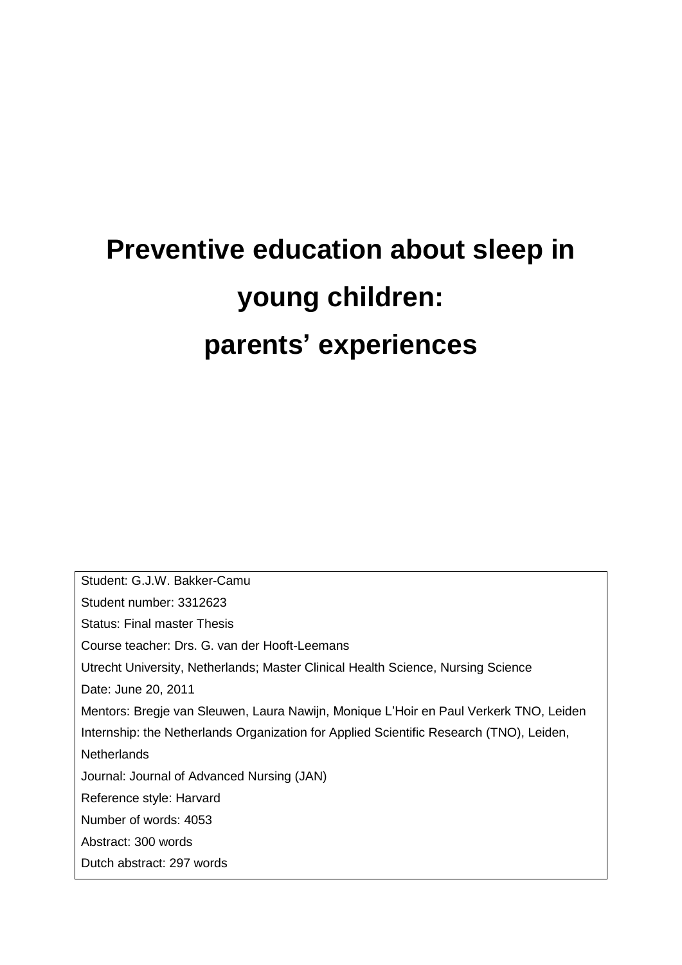# **Preventive education about sleep in young children: parents' experiences**

Student: G.J.W. Bakker-Camu Student number: 3312623 Status: Final master Thesis Course teacher: Drs. G. van der Hooft-Leemans Utrecht University, Netherlands; Master Clinical Health Science, Nursing Science Date: June 20, 2011 Mentors: Bregje van Sleuwen, Laura Nawijn, Monique L"Hoir en Paul Verkerk TNO, Leiden Internship: the Netherlands Organization for Applied Scientific Research (TNO), Leiden, **Netherlands** Journal: Journal of Advanced Nursing (JAN) Reference style: Harvard Number of words: 4053 Abstract: 300 words Dutch abstract: 297 words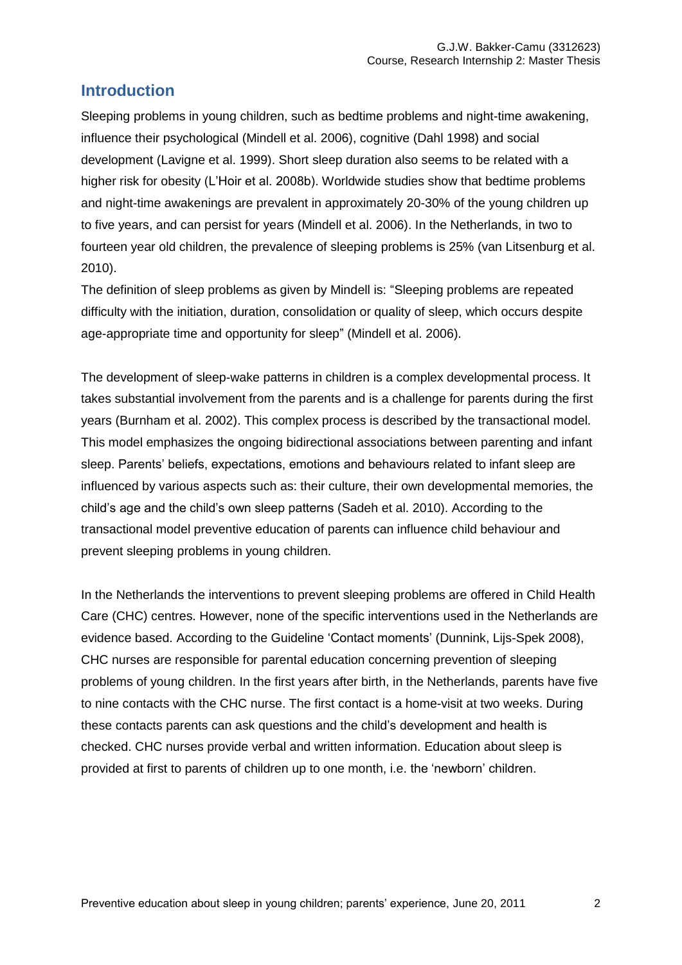# **Introduction**

Sleeping problems in young children, such as bedtime problems and night-time awakening, influence their psychological (Mindell et al. 2006), cognitive (Dahl 1998) and social development (Lavigne et al. 1999). Short sleep duration also seems to be related with a higher risk for obesity (L"Hoir et al. 2008b). Worldwide studies show that bedtime problems and night-time awakenings are prevalent in approximately 20-30% of the young children up to five years, and can persist for years (Mindell et al. 2006). In the Netherlands, in two to fourteen year old children, the prevalence of sleeping problems is 25% (van Litsenburg et al. 2010).

The definition of sleep problems as given by Mindell is: "Sleeping problems are repeated difficulty with the initiation, duration, consolidation or quality of sleep, which occurs despite age-appropriate time and opportunity for sleep" (Mindell et al. 2006).

The development of sleep-wake patterns in children is a complex developmental process. It takes substantial involvement from the parents and is a challenge for parents during the first years (Burnham et al. 2002). This complex process is described by the transactional model. This model emphasizes the ongoing bidirectional associations between parenting and infant sleep. Parents' beliefs, expectations, emotions and behaviours related to infant sleep are influenced by various aspects such as: their culture, their own developmental memories, the child"s age and the child"s own sleep patterns (Sadeh et al. 2010). According to the transactional model preventive education of parents can influence child behaviour and prevent sleeping problems in young children.

In the Netherlands the interventions to prevent sleeping problems are offered in Child Health Care (CHC) centres. However, none of the specific interventions used in the Netherlands are evidence based. According to the Guideline "Contact moments" (Dunnink, Lijs-Spek 2008), CHC nurses are responsible for parental education concerning prevention of sleeping problems of young children. In the first years after birth, in the Netherlands, parents have five to nine contacts with the CHC nurse. The first contact is a home-visit at two weeks. During these contacts parents can ask questions and the child"s development and health is checked. CHC nurses provide verbal and written information. Education about sleep is provided at first to parents of children up to one month, i.e. the "newborn" children.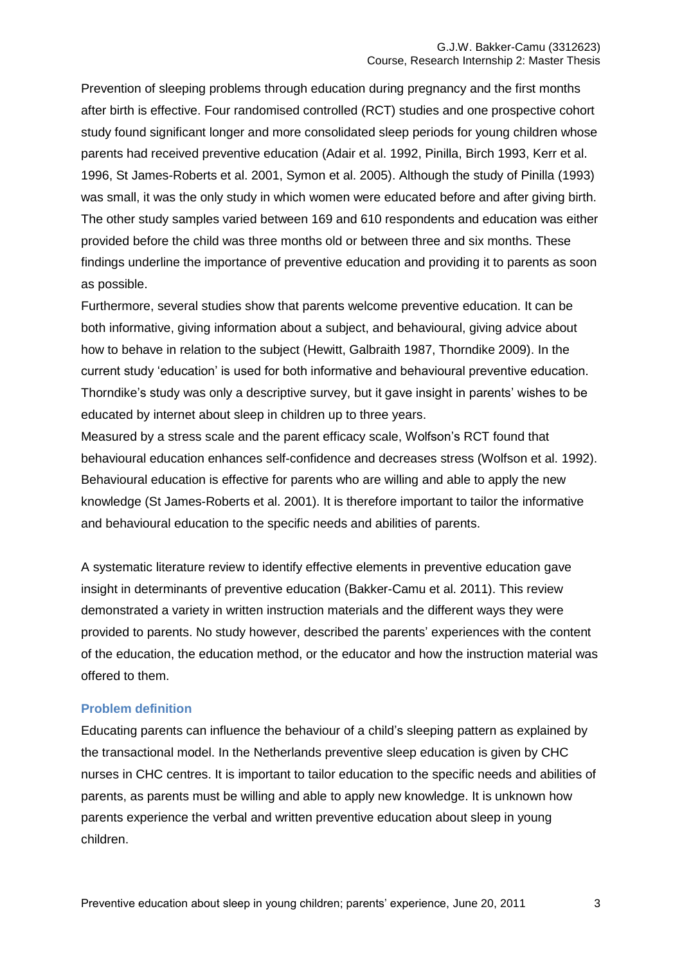Prevention of sleeping problems through education during pregnancy and the first months after birth is effective. Four randomised controlled (RCT) studies and one prospective cohort study found significant longer and more consolidated sleep periods for young children whose parents had received preventive education (Adair et al. 1992, Pinilla, Birch 1993, Kerr et al. 1996, St James-Roberts et al. 2001, Symon et al. 2005). Although the study of Pinilla (1993) was small, it was the only study in which women were educated before and after giving birth. The other study samples varied between 169 and 610 respondents and education was either provided before the child was three months old or between three and six months. These findings underline the importance of preventive education and providing it to parents as soon as possible.

Furthermore, several studies show that parents welcome preventive education. It can be both informative, giving information about a subject, and behavioural, giving advice about how to behave in relation to the subject (Hewitt, Galbraith 1987, Thorndike 2009). In the current study "education" is used for both informative and behavioural preventive education. Thorndike's study was only a descriptive survey, but it gave insight in parents' wishes to be educated by internet about sleep in children up to three years.

Measured by a stress scale and the parent efficacy scale, Wolfson"s RCT found that behavioural education enhances self-confidence and decreases stress (Wolfson et al. 1992). Behavioural education is effective for parents who are willing and able to apply the new knowledge (St James-Roberts et al. 2001). It is therefore important to tailor the informative and behavioural education to the specific needs and abilities of parents.

A systematic literature review to identify effective elements in preventive education gave insight in determinants of preventive education (Bakker-Camu et al. 2011). This review demonstrated a variety in written instruction materials and the different ways they were provided to parents. No study however, described the parents" experiences with the content of the education, the education method, or the educator and how the instruction material was offered to them.

#### **Problem definition**

Educating parents can influence the behaviour of a child"s sleeping pattern as explained by the transactional model. In the Netherlands preventive sleep education is given by CHC nurses in CHC centres. It is important to tailor education to the specific needs and abilities of parents, as parents must be willing and able to apply new knowledge. It is unknown how parents experience the verbal and written preventive education about sleep in young children.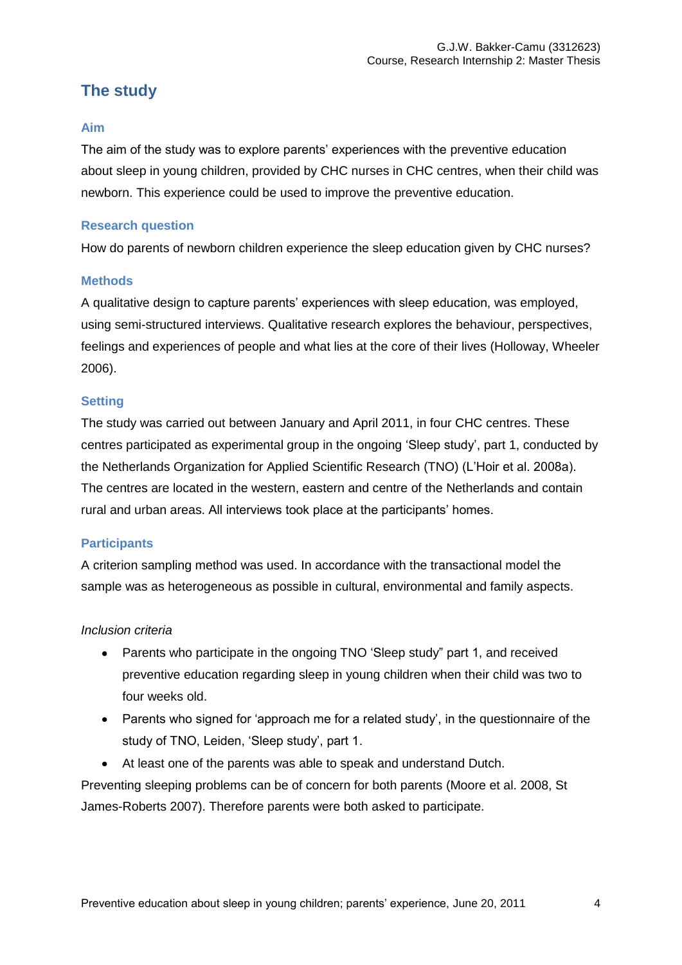# **The study**

#### **Aim**

The aim of the study was to explore parents" experiences with the preventive education about sleep in young children, provided by CHC nurses in CHC centres, when their child was newborn. This experience could be used to improve the preventive education.

#### **Research question**

How do parents of newborn children experience the sleep education given by CHC nurses?

## **Methods**

A qualitative design to capture parents" experiences with sleep education, was employed, using semi-structured interviews. Qualitative research explores the behaviour, perspectives, feelings and experiences of people and what lies at the core of their lives (Holloway, Wheeler 2006).

## **Setting**

The study was carried out between January and April 2011, in four CHC centres. These centres participated as experimental group in the ongoing "Sleep study", part 1, conducted by the Netherlands Organization for Applied Scientific Research (TNO) (L"Hoir et al. 2008a). The centres are located in the western, eastern and centre of the Netherlands and contain rural and urban areas. All interviews took place at the participants' homes.

## **Participants**

A criterion sampling method was used. In accordance with the transactional model the sample was as heterogeneous as possible in cultural, environmental and family aspects.

#### *Inclusion criteria*

- Parents who participate in the ongoing TNO 'Sleep study" part 1, and received preventive education regarding sleep in young children when their child was two to four weeks old.
- Parents who signed for 'approach me for a related study', in the questionnaire of the study of TNO, Leiden, 'Sleep study', part 1.
- At least one of the parents was able to speak and understand Dutch.

Preventing sleeping problems can be of concern for both parents (Moore et al. 2008, St James-Roberts 2007). Therefore parents were both asked to participate.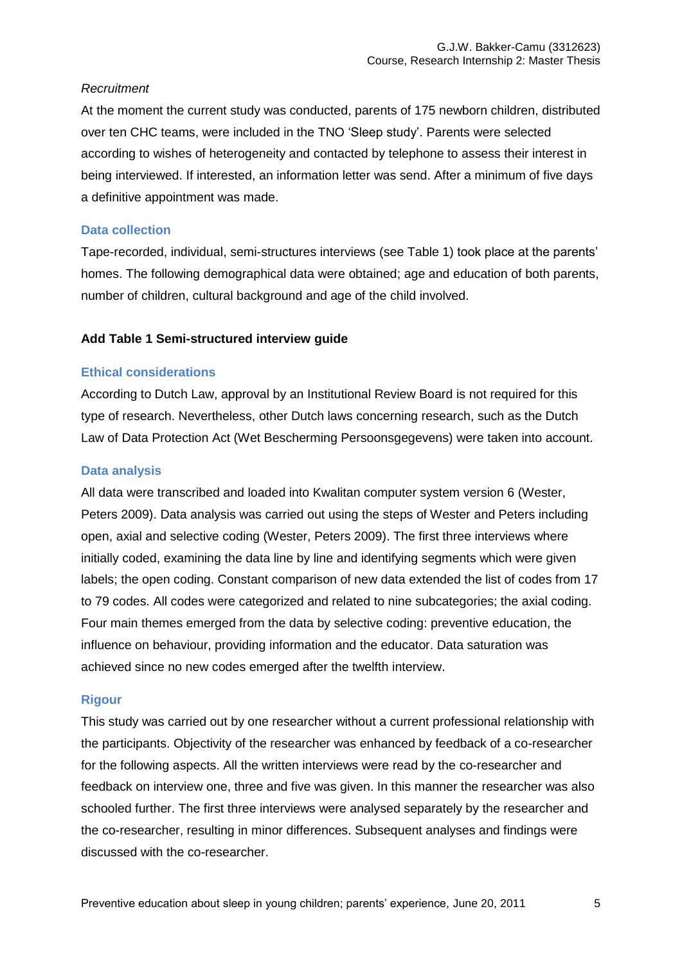#### *Recruitment*

At the moment the current study was conducted, parents of 175 newborn children, distributed over ten CHC teams, were included in the TNO "Sleep study". Parents were selected according to wishes of heterogeneity and contacted by telephone to assess their interest in being interviewed. If interested, an information letter was send. After a minimum of five days a definitive appointment was made.

#### **Data collection**

Tape-recorded, individual, semi-structures interviews (see Table 1) took place at the parents" homes. The following demographical data were obtained; age and education of both parents, number of children, cultural background and age of the child involved.

#### **Add Table 1 Semi-structured interview guide**

#### **Ethical considerations**

According to Dutch Law, approval by an Institutional Review Board is not required for this type of research. Nevertheless, other Dutch laws concerning research, such as the Dutch Law of Data Protection Act (Wet Bescherming Persoonsgegevens) were taken into account.

#### **Data analysis**

All data were transcribed and loaded into Kwalitan computer system version 6 (Wester, Peters 2009). Data analysis was carried out using the steps of Wester and Peters including open, axial and selective coding (Wester, Peters 2009). The first three interviews where initially coded, examining the data line by line and identifying segments which were given labels; the open coding. Constant comparison of new data extended the list of codes from 17 to 79 codes. All codes were categorized and related to nine subcategories; the axial coding. Four main themes emerged from the data by selective coding: preventive education, the influence on behaviour, providing information and the educator. Data saturation was achieved since no new codes emerged after the twelfth interview.

#### **Rigour**

This study was carried out by one researcher without a current professional relationship with the participants. Objectivity of the researcher was enhanced by feedback of a co-researcher for the following aspects. All the written interviews were read by the co-researcher and feedback on interview one, three and five was given. In this manner the researcher was also schooled further. The first three interviews were analysed separately by the researcher and the co-researcher, resulting in minor differences. Subsequent analyses and findings were discussed with the co-researcher.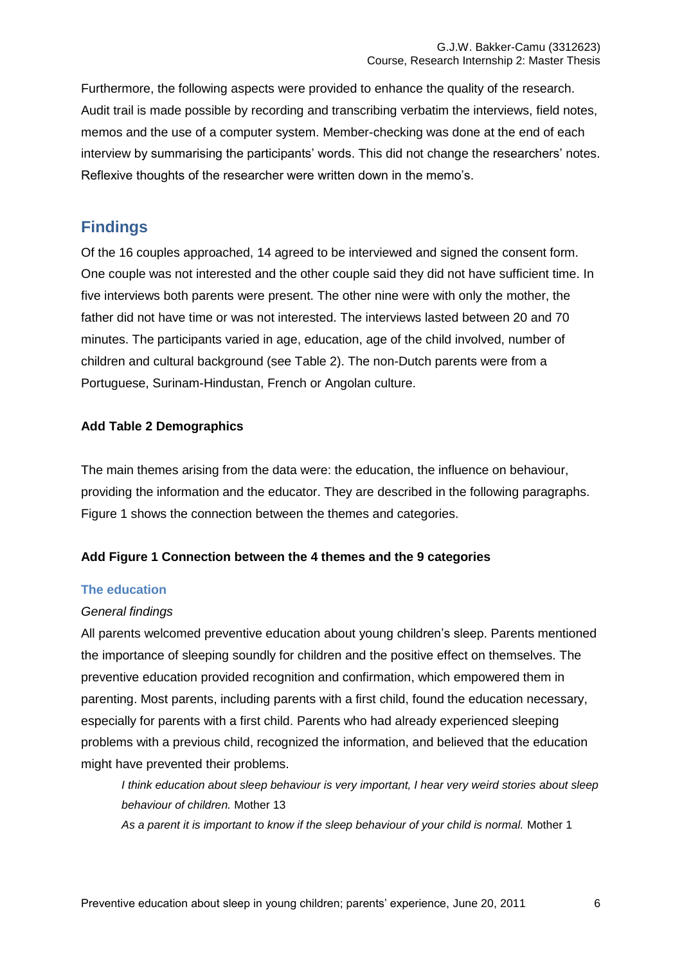Furthermore, the following aspects were provided to enhance the quality of the research. Audit trail is made possible by recording and transcribing verbatim the interviews, field notes, memos and the use of a computer system. Member-checking was done at the end of each interview by summarising the participants" words. This did not change the researchers" notes. Reflexive thoughts of the researcher were written down in the memo's.

# **Findings**

Of the 16 couples approached, 14 agreed to be interviewed and signed the consent form. One couple was not interested and the other couple said they did not have sufficient time. In five interviews both parents were present. The other nine were with only the mother, the father did not have time or was not interested. The interviews lasted between 20 and 70 minutes. The participants varied in age, education, age of the child involved, number of children and cultural background (see Table 2). The non-Dutch parents were from a Portuguese, Surinam-Hindustan, French or Angolan culture.

## **Add Table 2 Demographics**

The main themes arising from the data were: the education, the influence on behaviour, providing the information and the educator. They are described in the following paragraphs. Figure 1 shows the connection between the themes and categories.

## **Add Figure 1 Connection between the 4 themes and the 9 categories**

## **The education**

## *General findings*

All parents welcomed preventive education about young children"s sleep. Parents mentioned the importance of sleeping soundly for children and the positive effect on themselves. The preventive education provided recognition and confirmation, which empowered them in parenting. Most parents, including parents with a first child, found the education necessary, especially for parents with a first child. Parents who had already experienced sleeping problems with a previous child, recognized the information, and believed that the education might have prevented their problems.

*I think education about sleep behaviour is very important, I hear very weird stories about sleep behaviour of children.* Mother 13

*As a parent it is important to know if the sleep behaviour of your child is normal.* Mother 1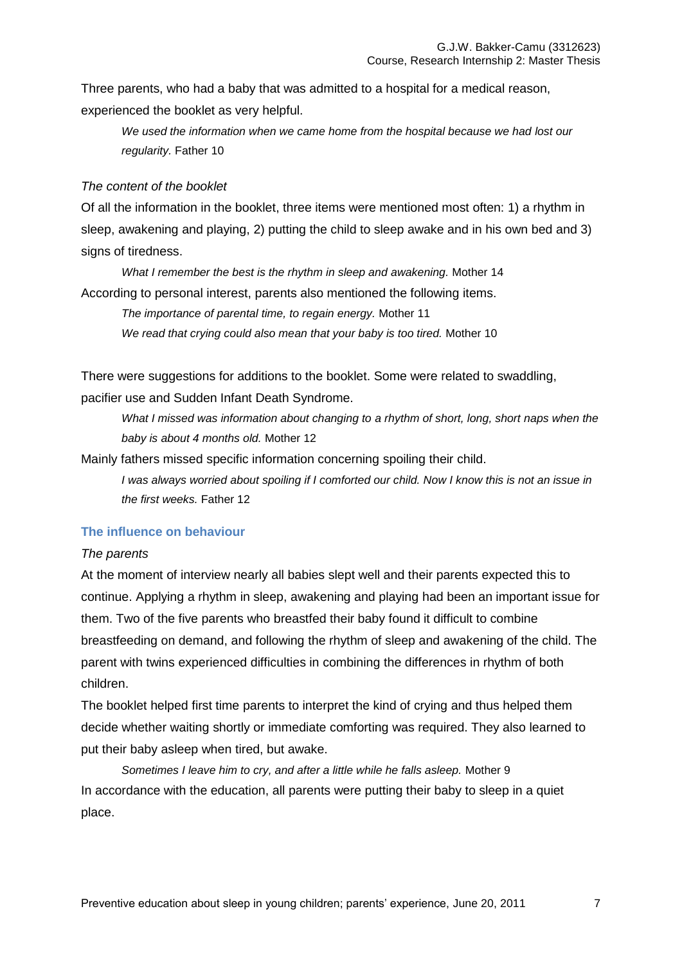Three parents, who had a baby that was admitted to a hospital for a medical reason, experienced the booklet as very helpful.

*We used the information when we came home from the hospital because we had lost our regularity.* Father 10

#### *The content of the booklet*

Of all the information in the booklet, three items were mentioned most often: 1) a rhythm in sleep, awakening and playing, 2) putting the child to sleep awake and in his own bed and 3) signs of tiredness.

*What I remember the best is the rhythm in sleep and awakening.* Mother 14 According to personal interest, parents also mentioned the following items.

> *The importance of parental time, to regain energy.* Mother 11 *We read that crying could also mean that your baby is too tired.* Mother 10

There were suggestions for additions to the booklet. Some were related to swaddling, pacifier use and Sudden Infant Death Syndrome.

*What I missed was information about changing to a rhythm of short, long, short naps when the baby is about 4 months old.* Mother 12

Mainly fathers missed specific information concerning spoiling their child.

*I was always worried about spoiling if I comforted our child. Now I know this is not an issue in the first weeks.* Father 12

#### **The influence on behaviour**

#### *The parents*

At the moment of interview nearly all babies slept well and their parents expected this to continue. Applying a rhythm in sleep, awakening and playing had been an important issue for them. Two of the five parents who breastfed their baby found it difficult to combine breastfeeding on demand, and following the rhythm of sleep and awakening of the child. The parent with twins experienced difficulties in combining the differences in rhythm of both children.

The booklet helped first time parents to interpret the kind of crying and thus helped them decide whether waiting shortly or immediate comforting was required. They also learned to put their baby asleep when tired, but awake.

*Sometimes I leave him to cry, and after a little while he falls asleep.* Mother 9 In accordance with the education, all parents were putting their baby to sleep in a quiet place.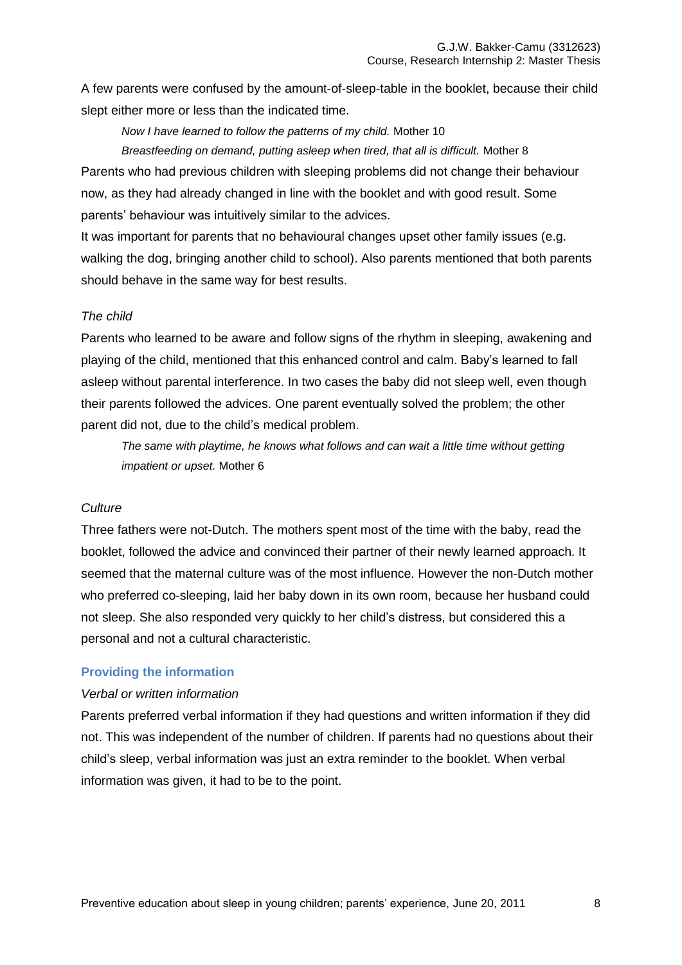A few parents were confused by the amount-of-sleep-table in the booklet, because their child slept either more or less than the indicated time.

*Now I have learned to follow the patterns of my child.* Mother 10

*Breastfeeding on demand, putting asleep when tired, that all is difficult.* Mother 8 Parents who had previous children with sleeping problems did not change their behaviour now, as they had already changed in line with the booklet and with good result. Some parents" behaviour was intuitively similar to the advices.

It was important for parents that no behavioural changes upset other family issues (e.g. walking the dog, bringing another child to school). Also parents mentioned that both parents should behave in the same way for best results.

#### *The child*

Parents who learned to be aware and follow signs of the rhythm in sleeping, awakening and playing of the child, mentioned that this enhanced control and calm. Baby"s learned to fall asleep without parental interference. In two cases the baby did not sleep well, even though their parents followed the advices. One parent eventually solved the problem; the other parent did not, due to the child"s medical problem.

*The same with playtime, he knows what follows and can wait a little time without getting impatient or upset.* Mother 6

#### *Culture*

Three fathers were not-Dutch. The mothers spent most of the time with the baby, read the booklet, followed the advice and convinced their partner of their newly learned approach. It seemed that the maternal culture was of the most influence. However the non-Dutch mother who preferred co-sleeping, laid her baby down in its own room, because her husband could not sleep. She also responded very quickly to her child"s distress, but considered this a personal and not a cultural characteristic.

#### **Providing the information**

#### *Verbal or written information*

Parents preferred verbal information if they had questions and written information if they did not. This was independent of the number of children. If parents had no questions about their child"s sleep, verbal information was just an extra reminder to the booklet. When verbal information was given, it had to be to the point.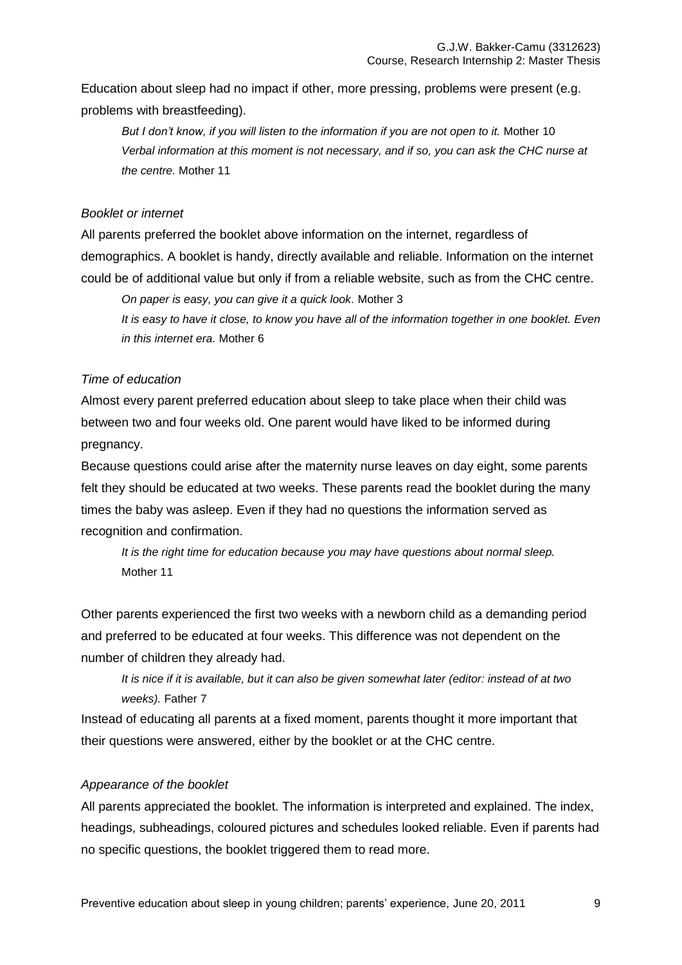Education about sleep had no impact if other, more pressing, problems were present (e.g. problems with breastfeeding).

*But I don't know, if you will listen to the information if you are not open to it.* Mother 10 *Verbal information at this moment is not necessary, and if so, you can ask the CHC nurse at the centre.* Mother 11

#### *Booklet or internet*

All parents preferred the booklet above information on the internet, regardless of demographics. A booklet is handy, directly available and reliable. Information on the internet could be of additional value but only if from a reliable website, such as from the CHC centre.

*On paper is easy, you can give it a quick look.* Mother 3 *It is easy to have it close, to know you have all of the information together in one booklet. Even in this internet era.* Mother 6

#### *Time of education*

Almost every parent preferred education about sleep to take place when their child was between two and four weeks old. One parent would have liked to be informed during pregnancy.

Because questions could arise after the maternity nurse leaves on day eight, some parents felt they should be educated at two weeks. These parents read the booklet during the many times the baby was asleep. Even if they had no questions the information served as recognition and confirmation.

*It is the right time for education because you may have questions about normal sleep.*  Mother 11

Other parents experienced the first two weeks with a newborn child as a demanding period and preferred to be educated at four weeks. This difference was not dependent on the number of children they already had.

*It is nice if it is available, but it can also be given somewhat later (editor: instead of at two weeks).* Father 7

Instead of educating all parents at a fixed moment, parents thought it more important that their questions were answered, either by the booklet or at the CHC centre.

#### *Appearance of the booklet*

All parents appreciated the booklet. The information is interpreted and explained. The index, headings, subheadings, coloured pictures and schedules looked reliable. Even if parents had no specific questions, the booklet triggered them to read more.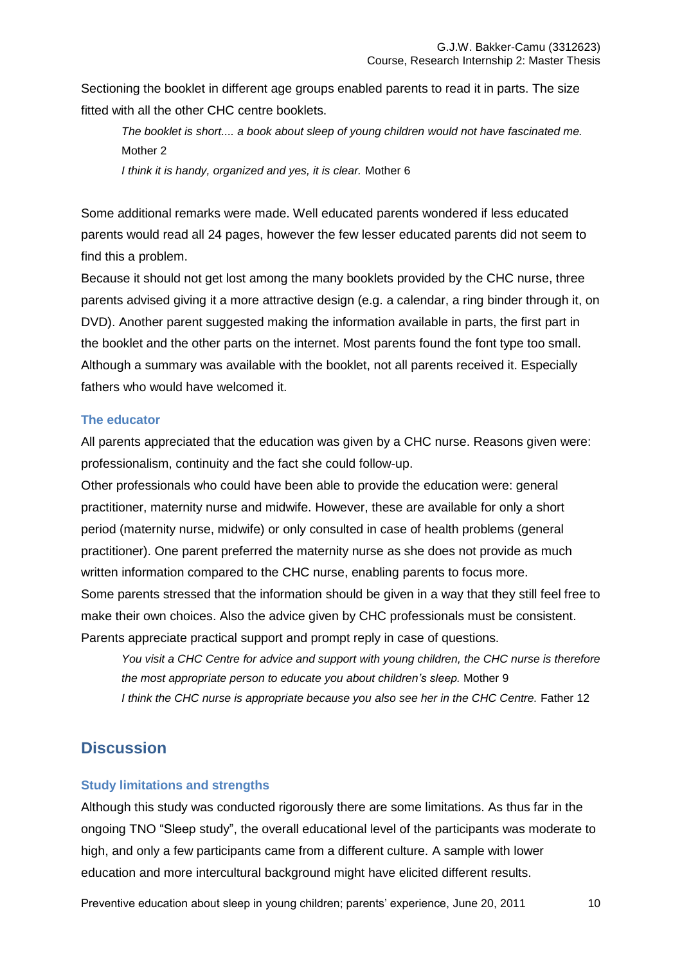Sectioning the booklet in different age groups enabled parents to read it in parts. The size fitted with all the other CHC centre booklets.

*The booklet is short.... a book about sleep of young children would not have fascinated me.* Mother 2

*I think it is handy, organized and yes, it is clear.* Mother 6

Some additional remarks were made. Well educated parents wondered if less educated parents would read all 24 pages, however the few lesser educated parents did not seem to find this a problem.

Because it should not get lost among the many booklets provided by the CHC nurse, three parents advised giving it a more attractive design (e.g. a calendar, a ring binder through it, on DVD). Another parent suggested making the information available in parts, the first part in the booklet and the other parts on the internet. Most parents found the font type too small. Although a summary was available with the booklet, not all parents received it. Especially fathers who would have welcomed it.

#### **The educator**

All parents appreciated that the education was given by a CHC nurse. Reasons given were: professionalism, continuity and the fact she could follow-up.

Other professionals who could have been able to provide the education were: general practitioner, maternity nurse and midwife. However, these are available for only a short period (maternity nurse, midwife) or only consulted in case of health problems (general practitioner). One parent preferred the maternity nurse as she does not provide as much written information compared to the CHC nurse, enabling parents to focus more. Some parents stressed that the information should be given in a way that they still feel free to make their own choices. Also the advice given by CHC professionals must be consistent. Parents appreciate practical support and prompt reply in case of questions.

*You visit a CHC Centre for advice and support with young children, the CHC nurse is therefore the most appropriate person to educate you about children's sleep.* Mother 9 *I think the CHC nurse is appropriate because you also see her in the CHC Centre.* Father 12

# **Discussion**

#### **Study limitations and strengths**

Although this study was conducted rigorously there are some limitations. As thus far in the ongoing TNO "Sleep study", the overall educational level of the participants was moderate to high, and only a few participants came from a different culture. A sample with lower education and more intercultural background might have elicited different results.

Preventive education about sleep in young children; parents' experience, June 20, 2011 10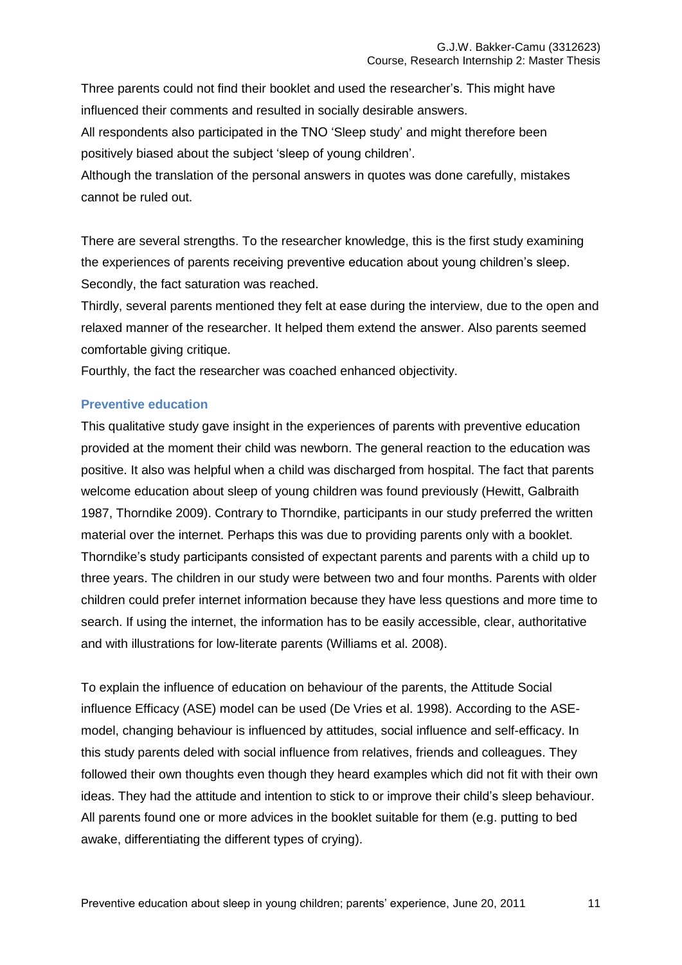Three parents could not find their booklet and used the researcher"s. This might have influenced their comments and resulted in socially desirable answers.

All respondents also participated in the TNO "Sleep study" and might therefore been positively biased about the subject "sleep of young children".

Although the translation of the personal answers in quotes was done carefully, mistakes cannot be ruled out.

There are several strengths. To the researcher knowledge, this is the first study examining the experiences of parents receiving preventive education about young children"s sleep. Secondly, the fact saturation was reached.

Thirdly, several parents mentioned they felt at ease during the interview, due to the open and relaxed manner of the researcher. It helped them extend the answer. Also parents seemed comfortable giving critique.

Fourthly, the fact the researcher was coached enhanced objectivity.

## **Preventive education**

This qualitative study gave insight in the experiences of parents with preventive education provided at the moment their child was newborn. The general reaction to the education was positive. It also was helpful when a child was discharged from hospital. The fact that parents welcome education about sleep of young children was found previously (Hewitt, Galbraith 1987, Thorndike 2009). Contrary to Thorndike, participants in our study preferred the written material over the internet. Perhaps this was due to providing parents only with a booklet. Thorndike"s study participants consisted of expectant parents and parents with a child up to three years. The children in our study were between two and four months. Parents with older children could prefer internet information because they have less questions and more time to search. If using the internet, the information has to be easily accessible, clear, authoritative and with illustrations for low-literate parents (Williams et al. 2008).

To explain the influence of education on behaviour of the parents, the Attitude Social influence Efficacy (ASE) model can be used (De Vries et al. 1998). According to the ASEmodel, changing behaviour is influenced by attitudes, social influence and self-efficacy. In this study parents deled with social influence from relatives, friends and colleagues. They followed their own thoughts even though they heard examples which did not fit with their own ideas. They had the attitude and intention to stick to or improve their child's sleep behaviour. All parents found one or more advices in the booklet suitable for them (e.g. putting to bed awake, differentiating the different types of crying).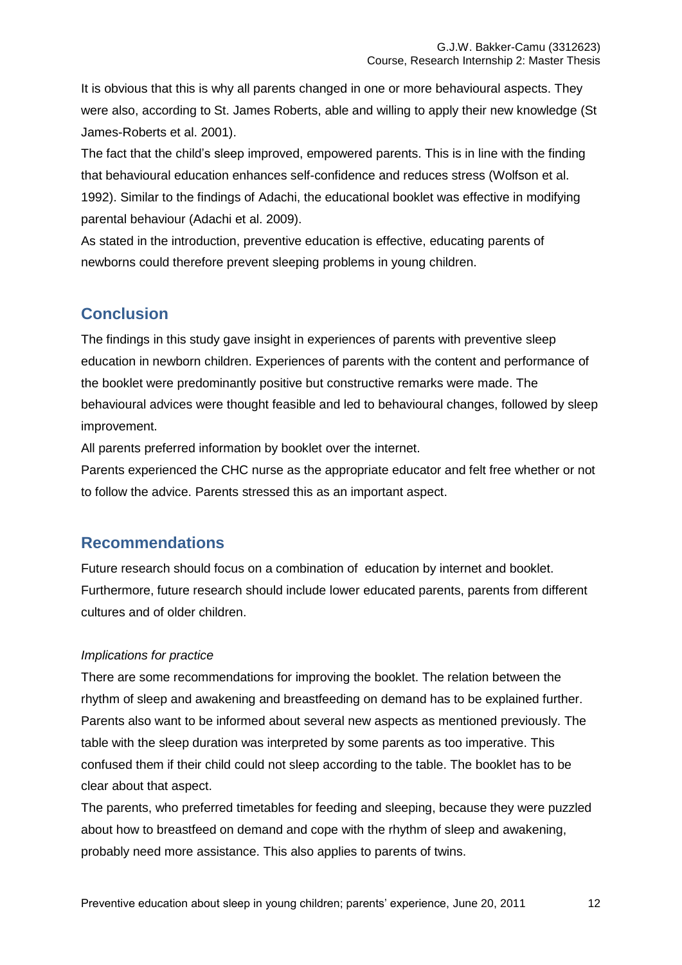It is obvious that this is why all parents changed in one or more behavioural aspects. They were also, according to St. James Roberts, able and willing to apply their new knowledge (St James-Roberts et al. 2001).

The fact that the child's sleep improved, empowered parents. This is in line with the finding that behavioural education enhances self-confidence and reduces stress (Wolfson et al. 1992). Similar to the findings of Adachi, the educational booklet was effective in modifying parental behaviour (Adachi et al. 2009).

As stated in the introduction, preventive education is effective, educating parents of newborns could therefore prevent sleeping problems in young children.

# **Conclusion**

The findings in this study gave insight in experiences of parents with preventive sleep education in newborn children. Experiences of parents with the content and performance of the booklet were predominantly positive but constructive remarks were made. The behavioural advices were thought feasible and led to behavioural changes, followed by sleep improvement.

All parents preferred information by booklet over the internet.

Parents experienced the CHC nurse as the appropriate educator and felt free whether or not to follow the advice. Parents stressed this as an important aspect.

# **Recommendations**

Future research should focus on a combination of education by internet and booklet. Furthermore, future research should include lower educated parents, parents from different cultures and of older children.

## *Implications for practice*

There are some recommendations for improving the booklet. The relation between the rhythm of sleep and awakening and breastfeeding on demand has to be explained further. Parents also want to be informed about several new aspects as mentioned previously. The table with the sleep duration was interpreted by some parents as too imperative. This confused them if their child could not sleep according to the table. The booklet has to be clear about that aspect.

The parents, who preferred timetables for feeding and sleeping, because they were puzzled about how to breastfeed on demand and cope with the rhythm of sleep and awakening, probably need more assistance. This also applies to parents of twins.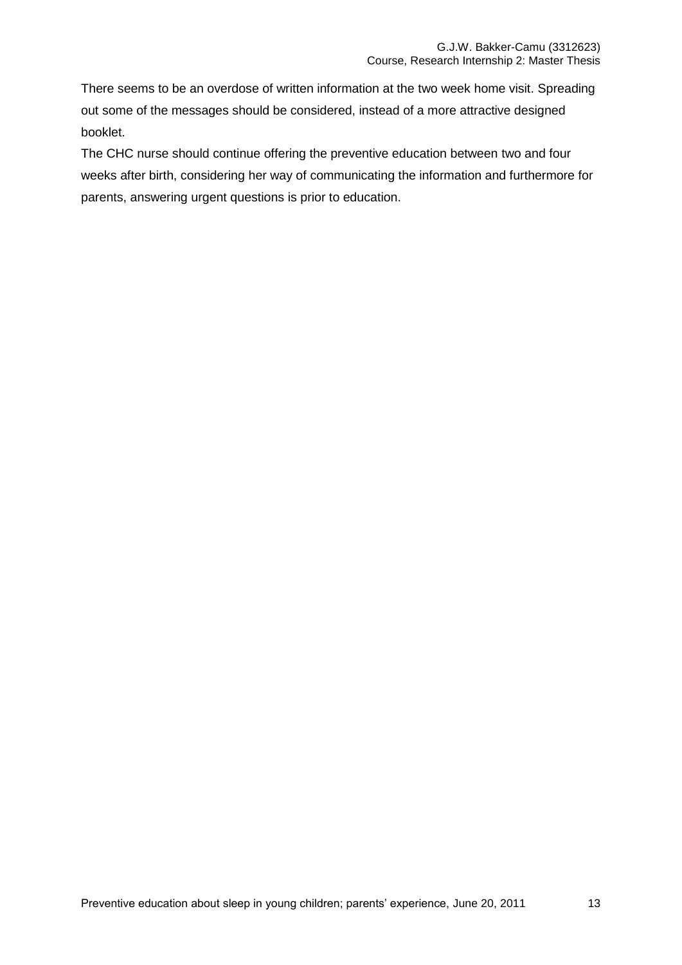There seems to be an overdose of written information at the two week home visit. Spreading out some of the messages should be considered, instead of a more attractive designed booklet.

The CHC nurse should continue offering the preventive education between two and four weeks after birth, considering her way of communicating the information and furthermore for parents, answering urgent questions is prior to education.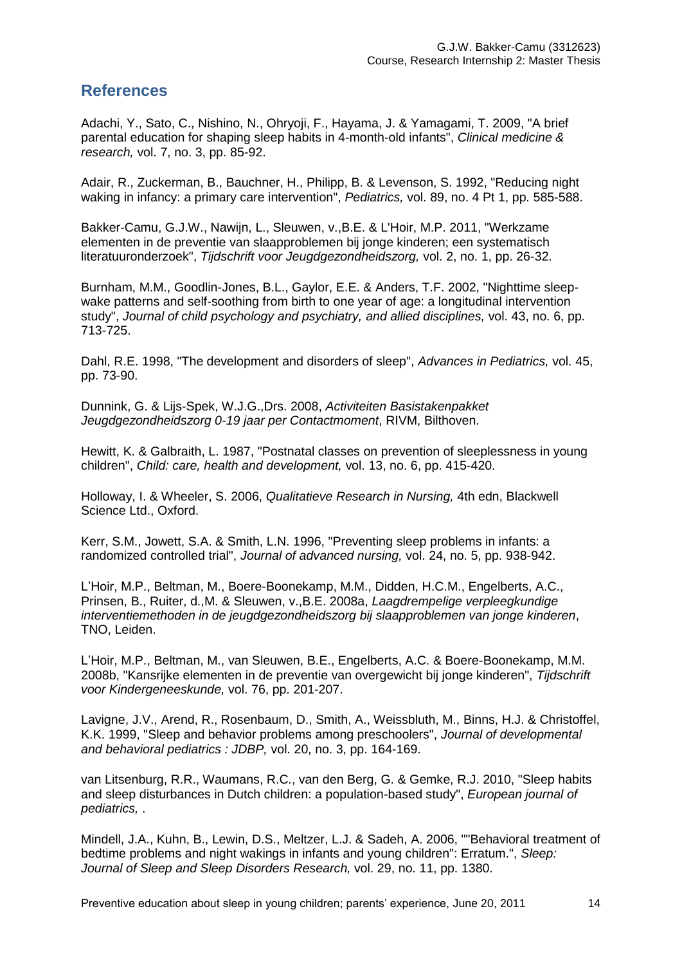# **References**

Adachi, Y., Sato, C., Nishino, N., Ohryoji, F., Hayama, J. & Yamagami, T. 2009, "A brief parental education for shaping sleep habits in 4-month-old infants", *Clinical medicine & research,* vol. 7, no. 3, pp. 85-92.

Adair, R., Zuckerman, B., Bauchner, H., Philipp, B. & Levenson, S. 1992, "Reducing night waking in infancy: a primary care intervention", *Pediatrics,* vol. 89, no. 4 Pt 1, pp. 585-588.

Bakker-Camu, G.J.W., Nawijn, L., Sleuwen, v.,B.E. & L'Hoir, M.P. 2011, "Werkzame elementen in de preventie van slaapproblemen bij jonge kinderen; een systematisch literatuuronderzoek", *Tijdschrift voor Jeugdgezondheidszorg,* vol. 2, no. 1, pp. 26-32.

Burnham, M.M., Goodlin-Jones, B.L., Gaylor, E.E. & Anders, T.F. 2002, "Nighttime sleepwake patterns and self-soothing from birth to one year of age: a longitudinal intervention study", *Journal of child psychology and psychiatry, and allied disciplines,* vol. 43, no. 6, pp. 713-725.

Dahl, R.E. 1998, "The development and disorders of sleep", *Advances in Pediatrics,* vol. 45, pp. 73-90.

Dunnink, G. & Lijs-Spek, W.J.G.,Drs. 2008, *Activiteiten Basistakenpakket Jeugdgezondheidszorg 0-19 jaar per Contactmoment*, RIVM, Bilthoven.

Hewitt, K. & Galbraith, L. 1987, "Postnatal classes on prevention of sleeplessness in young children", *Child: care, health and development,* vol. 13, no. 6, pp. 415-420.

Holloway, I. & Wheeler, S. 2006, *Qualitatieve Research in Nursing,* 4th edn, Blackwell Science Ltd., Oxford.

Kerr, S.M., Jowett, S.A. & Smith, L.N. 1996, "Preventing sleep problems in infants: a randomized controlled trial", *Journal of advanced nursing,* vol. 24, no. 5, pp. 938-942.

L"Hoir, M.P., Beltman, M., Boere-Boonekamp, M.M., Didden, H.C.M., Engelberts, A.C., Prinsen, B., Ruiter, d.,M. & Sleuwen, v.,B.E. 2008a, *Laagdrempelige verpleegkundige interventiemethoden in de jeugdgezondheidszorg bij slaapproblemen van jonge kinderen*, TNO, Leiden.

L"Hoir, M.P., Beltman, M., van Sleuwen, B.E., Engelberts, A.C. & Boere-Boonekamp, M.M. 2008b, "Kansrijke elementen in de preventie van overgewicht bij jonge kinderen", *Tijdschrift voor Kindergeneeskunde,* vol. 76, pp. 201-207.

Lavigne, J.V., Arend, R., Rosenbaum, D., Smith, A., Weissbluth, M., Binns, H.J. & Christoffel, K.K. 1999, "Sleep and behavior problems among preschoolers", *Journal of developmental and behavioral pediatrics : JDBP,* vol. 20, no. 3, pp. 164-169.

van Litsenburg, R.R., Waumans, R.C., van den Berg, G. & Gemke, R.J. 2010, "Sleep habits and sleep disturbances in Dutch children: a population-based study", *European journal of pediatrics,* .

Mindell, J.A., Kuhn, B., Lewin, D.S., Meltzer, L.J. & Sadeh, A. 2006, ""Behavioral treatment of bedtime problems and night wakings in infants and young children": Erratum.", *Sleep: Journal of Sleep and Sleep Disorders Research,* vol. 29, no. 11, pp. 1380.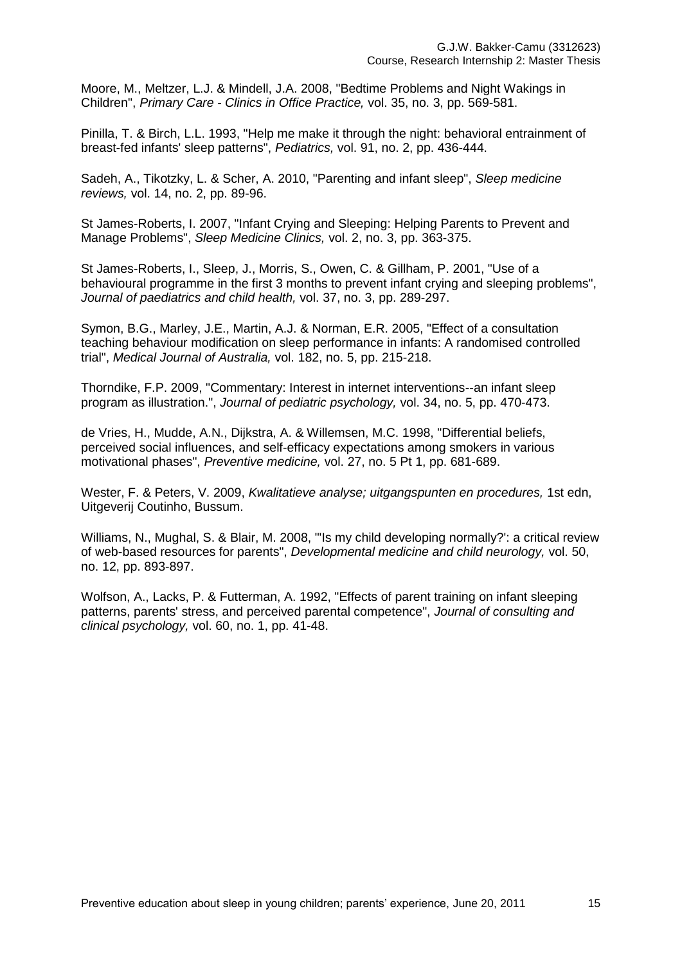Moore, M., Meltzer, L.J. & Mindell, J.A. 2008, "Bedtime Problems and Night Wakings in Children", *Primary Care - Clinics in Office Practice,* vol. 35, no. 3, pp. 569-581.

Pinilla, T. & Birch, L.L. 1993, "Help me make it through the night: behavioral entrainment of breast-fed infants' sleep patterns", *Pediatrics,* vol. 91, no. 2, pp. 436-444.

Sadeh, A., Tikotzky, L. & Scher, A. 2010, "Parenting and infant sleep", *Sleep medicine reviews,* vol. 14, no. 2, pp. 89-96.

St James-Roberts, I. 2007, "Infant Crying and Sleeping: Helping Parents to Prevent and Manage Problems", *Sleep Medicine Clinics,* vol. 2, no. 3, pp. 363-375.

St James-Roberts, I., Sleep, J., Morris, S., Owen, C. & Gillham, P. 2001, "Use of a behavioural programme in the first 3 months to prevent infant crying and sleeping problems", *Journal of paediatrics and child health,* vol. 37, no. 3, pp. 289-297.

Symon, B.G., Marley, J.E., Martin, A.J. & Norman, E.R. 2005, "Effect of a consultation teaching behaviour modification on sleep performance in infants: A randomised controlled trial", *Medical Journal of Australia,* vol. 182, no. 5, pp. 215-218.

Thorndike, F.P. 2009, "Commentary: Interest in internet interventions--an infant sleep program as illustration.", *Journal of pediatric psychology,* vol. 34, no. 5, pp. 470-473.

de Vries, H., Mudde, A.N., Dijkstra, A. & Willemsen, M.C. 1998, "Differential beliefs, perceived social influences, and self-efficacy expectations among smokers in various motivational phases", *Preventive medicine,* vol. 27, no. 5 Pt 1, pp. 681-689.

Wester, F. & Peters, V. 2009, *Kwalitatieve analyse; uitgangspunten en procedures,* 1st edn, Uitgeverij Coutinho, Bussum.

Williams, N., Mughal, S. & Blair, M. 2008, "'Is my child developing normally?': a critical review of web-based resources for parents", *Developmental medicine and child neurology,* vol. 50, no. 12, pp. 893-897.

Wolfson, A., Lacks, P. & Futterman, A. 1992, "Effects of parent training on infant sleeping patterns, parents' stress, and perceived parental competence", *Journal of consulting and clinical psychology,* vol. 60, no. 1, pp. 41-48.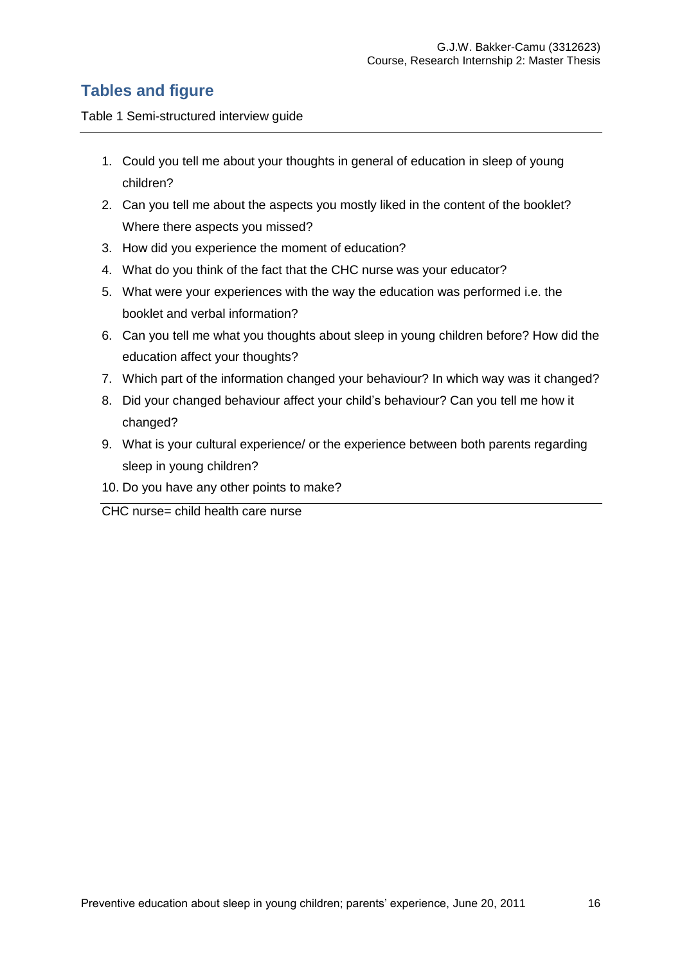# **Tables and figure**

Table 1 Semi-structured interview guide

- 1. Could you tell me about your thoughts in general of education in sleep of young children?
- 2. Can you tell me about the aspects you mostly liked in the content of the booklet? Where there aspects you missed?
- 3. How did you experience the moment of education?
- 4. What do you think of the fact that the CHC nurse was your educator?
- 5. What were your experiences with the way the education was performed i.e. the booklet and verbal information?
- 6. Can you tell me what you thoughts about sleep in young children before? How did the education affect your thoughts?
- 7. Which part of the information changed your behaviour? In which way was it changed?
- 8. Did your changed behaviour affect your child"s behaviour? Can you tell me how it changed?
- 9. What is your cultural experience/ or the experience between both parents regarding sleep in young children?
- 10. Do you have any other points to make?

CHC nurse= child health care nurse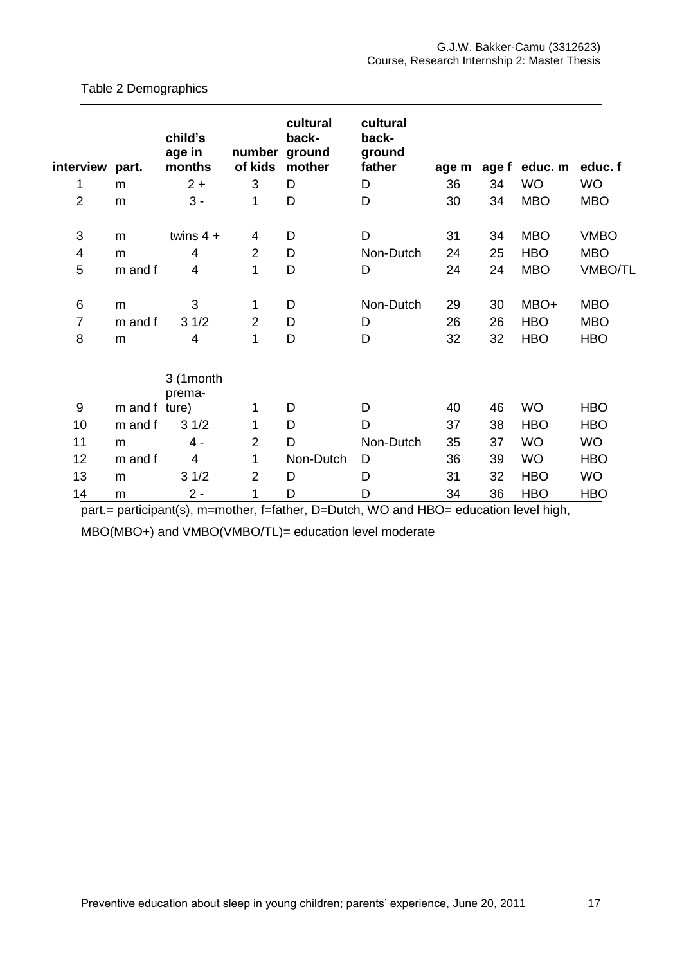| interview part. |               | child's<br>age in<br>months | number ground<br>of kids | cultural<br>back-<br>mother | cultural<br>back-<br>ground<br>father | age m |    | age f educ. m | educ. f        |
|-----------------|---------------|-----------------------------|--------------------------|-----------------------------|---------------------------------------|-------|----|---------------|----------------|
| 1               | m             | $2 +$                       | 3                        | D                           | D                                     | 36    | 34 | <b>WO</b>     | <b>WO</b>      |
| $\overline{2}$  | m             | $3 -$                       | 1                        | D                           | D                                     | 30    | 34 | <b>MBO</b>    | <b>MBO</b>     |
| 3               | m             | twins $4 +$                 | 4                        | D                           | D                                     | 31    | 34 | <b>MBO</b>    | <b>VMBO</b>    |
| 4               | m             | 4                           | $\overline{2}$           | D                           | Non-Dutch                             | 24    | 25 | <b>HBO</b>    | <b>MBO</b>     |
| 5               | m and f       | 4                           | 1                        | D                           | D                                     | 24    | 24 | <b>MBO</b>    | <b>VMBO/TL</b> |
| $\,6\,$         | m             | 3                           | 1                        | D                           | Non-Dutch                             | 29    | 30 | MBO+          | <b>MBO</b>     |
| $\overline{7}$  | m and f       | 31/2                        | $\overline{2}$           | D                           | D                                     | 26    | 26 | <b>HBO</b>    | <b>MBO</b>     |
| 8               | m             | 4                           | 1                        | D                           | D                                     | 32    | 32 | <b>HBO</b>    | <b>HBO</b>     |
|                 |               | 3 (1month<br>prema-         |                          |                             |                                       |       |    |               |                |
| 9               | m and f ture) |                             | 1                        | D                           | D                                     | 40    | 46 | <b>WO</b>     | <b>HBO</b>     |
| 10              | m and f       | 31/2                        | 1                        | D                           | D                                     | 37    | 38 | <b>HBO</b>    | <b>HBO</b>     |
| 11              | m             | 4 -                         | $\overline{2}$           | D                           | Non-Dutch                             | 35    | 37 | <b>WO</b>     | <b>WO</b>      |
| 12              | m and f       | 4                           | 1                        | Non-Dutch                   | D                                     | 36    | 39 | <b>WO</b>     | <b>HBO</b>     |
| 13              | m             | 31/2                        | $\overline{2}$           | D                           | D                                     | 31    | 32 | <b>HBO</b>    | <b>WO</b>      |
| 14              | m             | $2 -$                       | 1                        | D                           | D                                     | 34    | 36 | <b>HBO</b>    | <b>HBO</b>     |

#### Table 2 Demographics

part.= participant(s), m=mother, f=father, D=Dutch, WO and HBO= education level high,

MBO(MBO+) and VMBO(VMBO/TL)= education level moderate